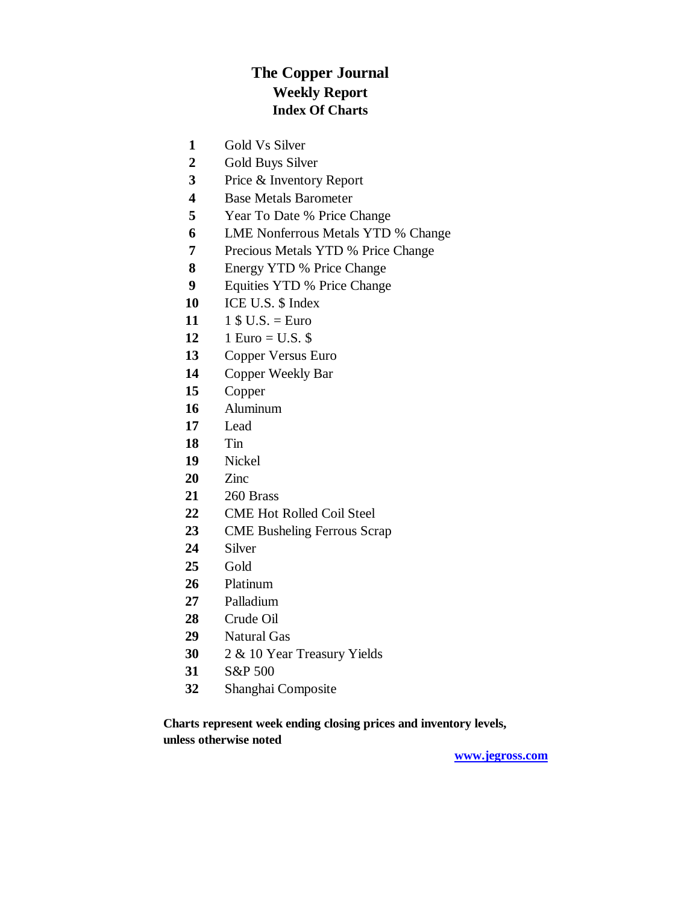### **The Copper Journal Weekly Report Index Of Charts**

- Gold Vs Silver
- Gold Buys Silver
- Price & Inventory Report
- Base Metals Barometer
- Year To Date % Price Change
- LME Nonferrous Metals YTD % Change
- Precious Metals YTD % Price Change
- Energy YTD % Price Change
- Equities YTD % Price Change
- ICE U.S. \$ Index
- 11  $1 \text{ $1$ } 5 \text{ U.S.} = \text{Euro}$
- 1 Euro = U.S. \$
- Copper Versus Euro
- Copper Weekly Bar
- Copper
- Aluminum
- Lead
- Tin
- Nickel
- Zinc
- 260 Brass
- CME Hot Rolled Coil Steel
- CME Busheling Ferrous Scrap
- Silver
- Gold
- Platinum
- Palladium
- Crude Oil
- Natural Gas
- 2 & 10 Year Treasury Yields
- S&P 500
- Shanghai Composite

**Charts represent week ending closing prices and inventory levels, unless otherwise noted**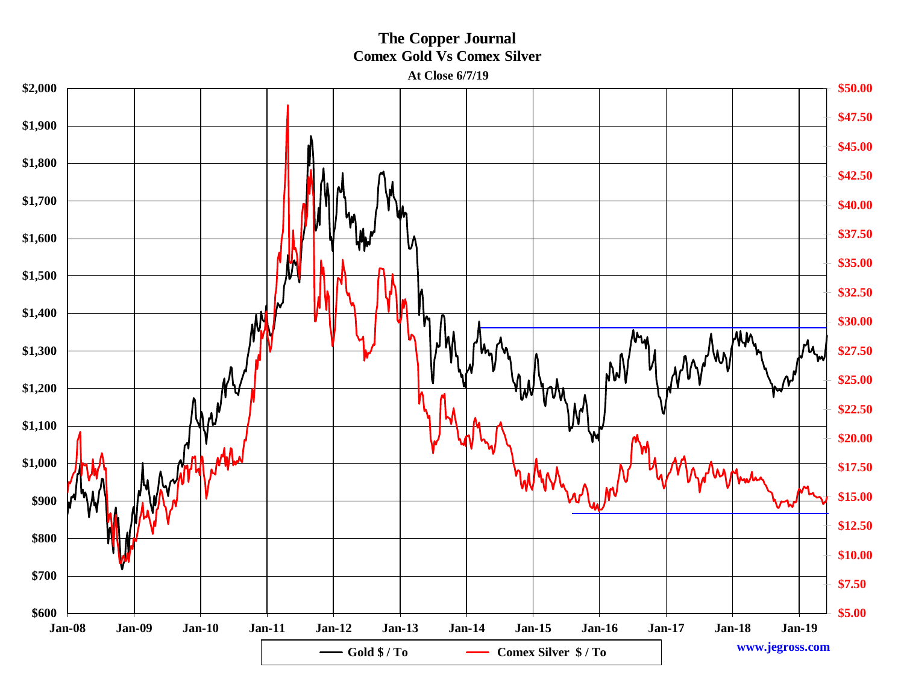### **The Copper Journal Comex Gold Vs Comex Silver**

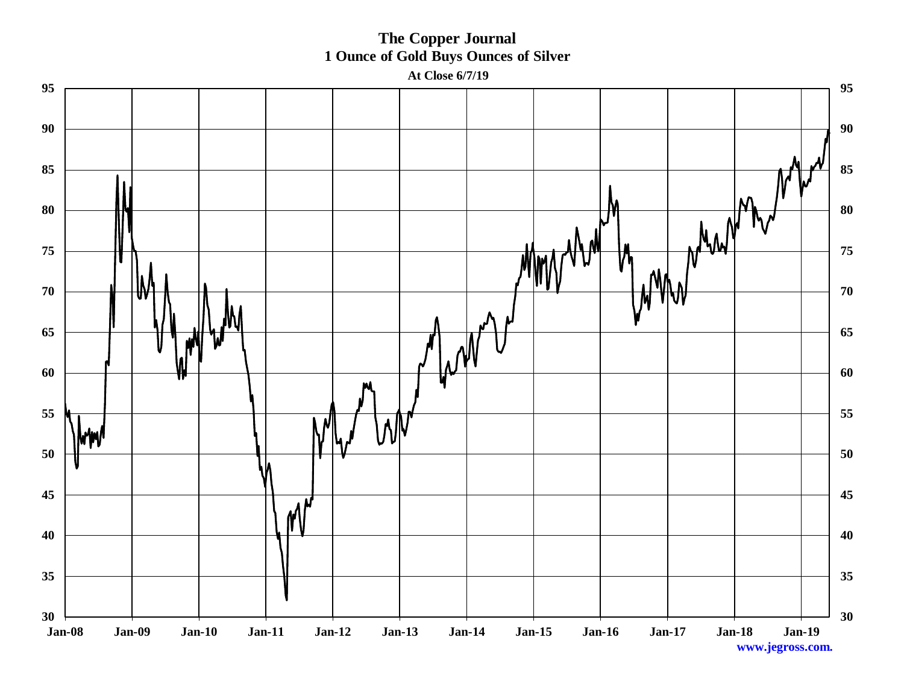**The Copper Journal 1 Ounce of Gold Buys Ounces of Silver** 

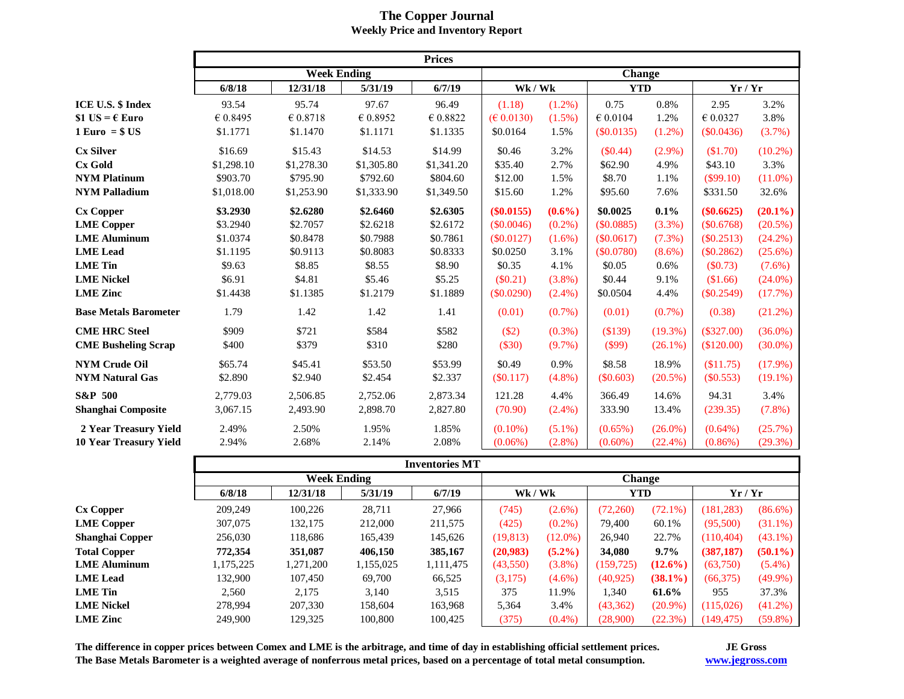|                                       | <b>Prices</b>      |            |            |            |               |           |                   |            |              |            |  |
|---------------------------------------|--------------------|------------|------------|------------|---------------|-----------|-------------------|------------|--------------|------------|--|
|                                       | <b>Week Ending</b> |            |            |            | <b>Change</b> |           |                   |            |              |            |  |
|                                       | 6/8/18             | 12/31/18   | 5/31/19    | 6/7/19     | Wk / Wk       |           | <b>YTD</b>        |            | Yr / Yr      |            |  |
| ICE U.S. \$ Index                     | 93.54              | 95.74      | 97.67      | 96.49      | (1.18)        | $(1.2\%)$ | 0.75              | 0.8%       | 2.95         | 3.2%       |  |
| \$1 US = $\epsilon$ Euro              | € 0.8495           | € 0.8718   | € 0.8952   | € 0.8822   | (E 0.0130)    | $(1.5\%)$ | $\epsilon$ 0.0104 | 1.2%       | € 0.0327     | 3.8%       |  |
| $1 \,\mathrm{Euro} = $ \,\mathrm{US}$ | \$1.1771           | \$1.1470   | \$1.1171   | \$1.1335   | \$0.0164      | 1.5%      | $(\$0.0135)$      | $(1.2\%)$  | (\$0.0436)   | (3.7%)     |  |
| <b>Cx Silver</b>                      | \$16.69            | \$15.43    | \$14.53    | \$14.99    | \$0.46        | 3.2%      | $(\$0.44)$        | $(2.9\%)$  | (\$1.70)     | $(10.2\%)$ |  |
| <b>Cx Gold</b>                        | \$1,298.10         | \$1,278.30 | \$1,305.80 | \$1,341.20 | \$35.40       | 2.7%      | \$62.90           | 4.9%       | \$43.10      | 3.3%       |  |
| <b>NYM Platinum</b>                   | \$903.70           | \$795.90   | \$792.60   | \$804.60   | \$12.00       | 1.5%      | \$8.70            | 1.1%       | $(\$99.10)$  | $(11.0\%)$ |  |
| <b>NYM Palladium</b>                  | \$1,018.00         | \$1,253.90 | \$1,333.90 | \$1,349.50 | \$15.60       | 1.2%      | \$95.60           | 7.6%       | \$331.50     | 32.6%      |  |
| <b>Cx Copper</b>                      | \$3.2930           | \$2.6280   | \$2.6460   | \$2.6305   | $(\$0.0155)$  | $(0.6\%)$ | \$0.0025          | 0.1%       | $(\$0.6625)$ | $(20.1\%)$ |  |
| <b>LME</b> Copper                     | \$3.2940           | \$2.7057   | \$2.6218   | \$2.6172   | (S0.0046)     | $(0.2\%)$ | (\$0.0885)        | (3.3%)     | (\$0.6768)   | $(20.5\%)$ |  |
| <b>LME Aluminum</b>                   | \$1.0374           | \$0.8478   | \$0.7988   | \$0.7861   | (S0.0127)     | $(1.6\%)$ | $(\$0.0617)$      | (7.3%)     | $(\$0.2513)$ | $(24.2\%)$ |  |
| <b>LME</b> Lead                       | \$1.1195           | \$0.9113   | \$0.8083   | \$0.8333   | \$0.0250      | 3.1%      | (\$0.0780)        | $(8.6\%)$  | (\$0.2862)   | $(25.6\%)$ |  |
| <b>LME</b> Tin                        | \$9.63             | \$8.85     | \$8.55     | \$8.90     | \$0.35        | 4.1%      | \$0.05            | 0.6%       | (\$0.73)     | $(7.6\%)$  |  |
| <b>LME Nickel</b>                     | \$6.91             | \$4.81     | \$5.46     | \$5.25     | $(\$0.21)$    | $(3.8\%)$ | \$0.44            | 9.1%       | \$1.66       | $(24.0\%)$ |  |
| <b>LME</b> Zinc                       | \$1.4438           | \$1.1385   | \$1.2179   | \$1.1889   | (\$0.0290)    | $(2.4\%)$ | \$0.0504          | 4.4%       | $(\$0.2549)$ | (17.7%)    |  |
| <b>Base Metals Barometer</b>          | 1.79               | 1.42       | 1.42       | 1.41       | (0.01)        | $(0.7\%)$ | (0.01)            | $(0.7\%)$  | (0.38)       | (21.2%)    |  |
| <b>CME HRC Steel</b>                  | \$909              | \$721      | \$584      | \$582      | (\$2)         | $(0.3\%)$ | (\$139)           | $(19.3\%)$ | $(\$327.00)$ | $(36.0\%)$ |  |
| <b>CME Busheling Scrap</b>            | \$400              | \$379      | \$310      | \$280      | (\$30)        | $(9.7\%)$ | $(\$99)$          | $(26.1\%)$ | (\$120.00)   | $(30.0\%)$ |  |
| <b>NYM Crude Oil</b>                  | \$65.74            | \$45.41    | \$53.50    | \$53.99    | \$0.49        | 0.9%      | \$8.58            | 18.9%      | (\$11.75)    | $(17.9\%)$ |  |
| <b>NYM Natural Gas</b>                | \$2.890            | \$2.940    | \$2.454    | \$2.337    | $(\$0.117)$   | $(4.8\%)$ | $(\$0.603)$       | $(20.5\%)$ | $(\$0.553)$  | $(19.1\%)$ |  |
| <b>S&amp;P 500</b>                    | 2,779.03           | 2,506.85   | 2,752.06   | 2,873.34   | 121.28        | 4.4%      | 366.49            | 14.6%      | 94.31        | 3.4%       |  |
| <b>Shanghai Composite</b>             | 3,067.15           | 2,493.90   | 2,898.70   | 2,827.80   | (70.90)       | $(2.4\%)$ | 333.90            | 13.4%      | (239.35)     | $(7.8\%)$  |  |
| 2 Year Treasury Yield                 | 2.49%              | 2.50%      | 1.95%      | 1.85%      | $(0.10\%)$    | $(5.1\%)$ | $(0.65\%)$        | $(26.0\%)$ | $(0.64\%)$   | $(25.7\%)$ |  |
| <b>10 Year Treasury Yield</b>         | 2.94%              | 2.68%      | 2.14%      | 2.08%      | $(0.06\%)$    | $(2.8\%)$ | $(0.60\%)$        | $(22.4\%)$ | $(0.86\%)$   | $(29.3\%)$ |  |

#### **The Copper Journal Weekly Price and Inventory Report**

|                        | <b>Inventories MT</b> |           |           |           |                             |            |            |            |            |            |  |
|------------------------|-----------------------|-----------|-----------|-----------|-----------------------------|------------|------------|------------|------------|------------|--|
|                        | <b>Week Ending</b>    |           |           |           | <b>Change</b>               |            |            |            |            |            |  |
|                        | 6/8/18                | 12/31/18  | 5/31/19   | 6/7/19    | $\mathbf{Wk} / \mathbf{Wk}$ |            | <b>YTD</b> |            | Yr/Yr      |            |  |
| <b>Cx Copper</b>       | 209,249               | 100,226   | 28,711    | 27,966    | (745)                       | $(2.6\%)$  | (72,260)   | $(72.1\%)$ | (181, 283) | $(86.6\%)$ |  |
| <b>LME</b> Copper      | 307,075               | 132,175   | 212,000   | 211,575   | (425)                       | $(0.2\%)$  | 79,400     | 60.1%      | (95,500)   | $(31.1\%)$ |  |
| <b>Shanghai Copper</b> | 256,030               | 118,686   | 165,439   | 145,626   | (19, 813)                   | $(12.0\%)$ | 26,940     | 22.7%      | (110, 404) | $(43.1\%)$ |  |
| <b>Total Copper</b>    | 772,354               | 351,087   | 406,150   | 385,167   | (20, 983)                   | $(5.2\%)$  | 34,080     | $9.7\%$    | (387, 187) | $(50.1\%)$ |  |
| <b>LME Aluminum</b>    | .175,225              | 1,271,200 | 1,155,025 | 1,111,475 | (43,550)                    | $(3.8\%)$  | (159, 725) | $(12.6\%)$ | (63,750)   | $(5.4\%)$  |  |
| <b>LME</b> Lead        | 132.900               | 107,450   | 69,700    | 66,525    | (3,175)                     | $(4.6\%)$  | (40, 925)  | $(38.1\%)$ | (66,375)   | $(49.9\%)$ |  |
| <b>LME</b> Tin         | 2,560                 | 2,175     | 3,140     | 3,515     | 375                         | 11.9%      | 1,340      | 61.6%      | 955        | 37.3%      |  |
| <b>LME Nickel</b>      | 278.994               | 207,330   | 158,604   | 163,968   | 5,364                       | 3.4%       | (43,362)   | $(20.9\%)$ | (115,026)  | $(41.2\%)$ |  |
| <b>LME</b> Zinc        | 249,900               | 129,325   | 100,800   | 100,425   | (375)                       | $(0.4\%)$  | (28,900)   | (22.3%)    | (149, 475) | $(59.8\%)$ |  |

**The difference in copper prices between Comex and LME is the arbitrage, and time of day in establishing official settlement prices. The Base Metals Barometer is a weighted average of nonferrous metal prices, based on a percentage of total metal consumption.**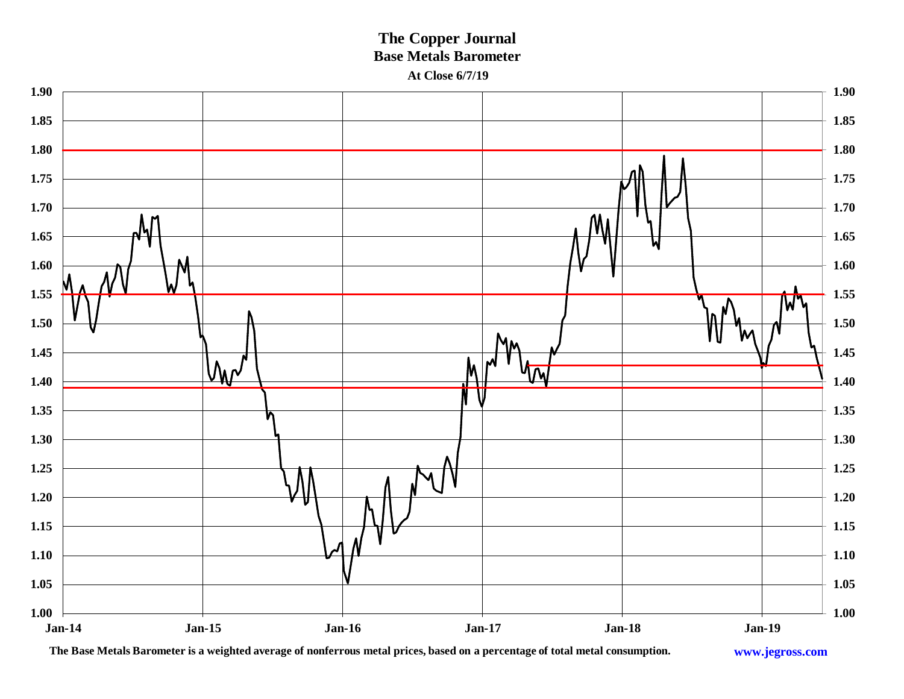### **The Copper Journal Base Metals Barometer At Close 6/7/19**



**The Base Metals Barometer is a weighted average of nonferrous metal prices, based on a percentage of total metal consumption.**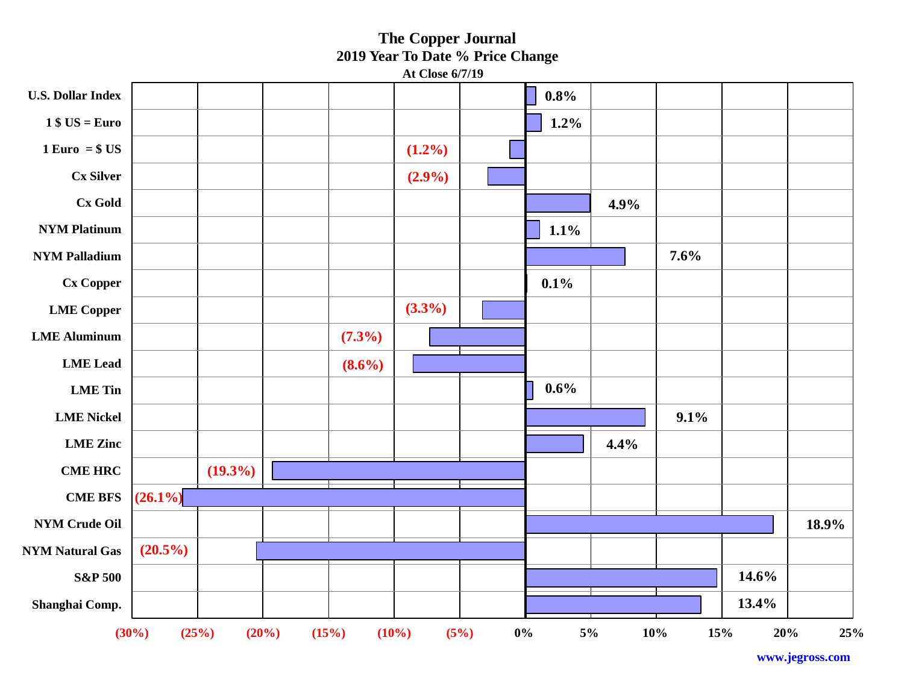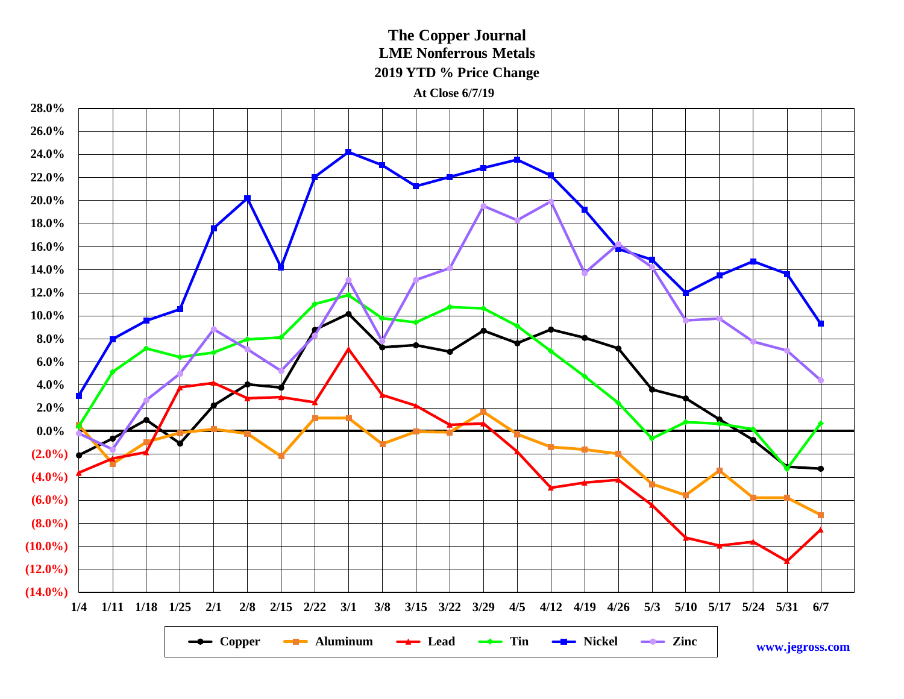**The Copper Journal LME Nonferrous Metals 2019 YTD % Price Change**

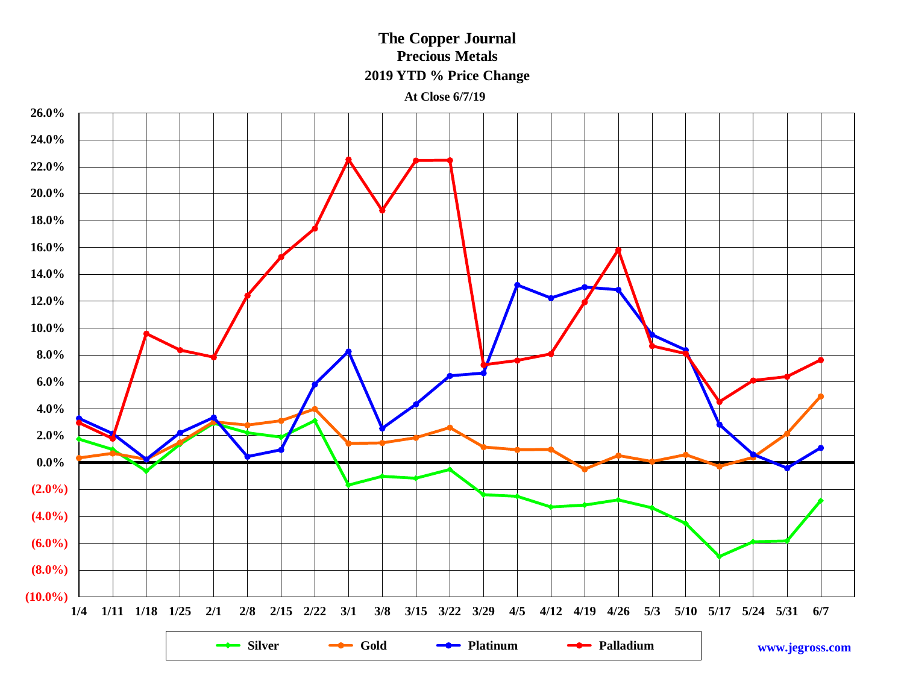### **The Copper Journal Precious Metals 2019 YTD % Price Change**

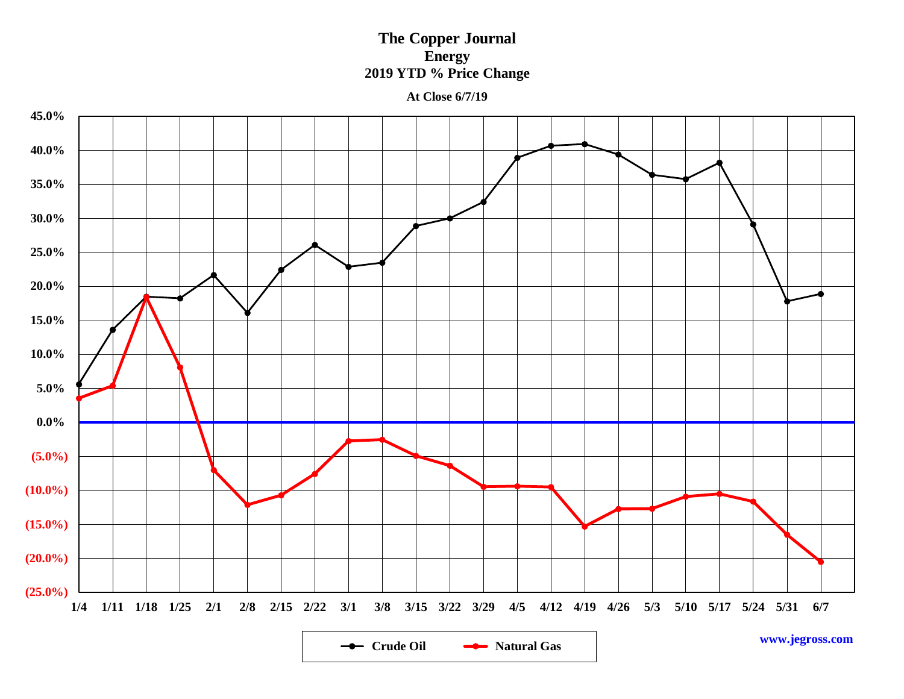### **The Copper Journal Energy 2019 YTD % Price Change**

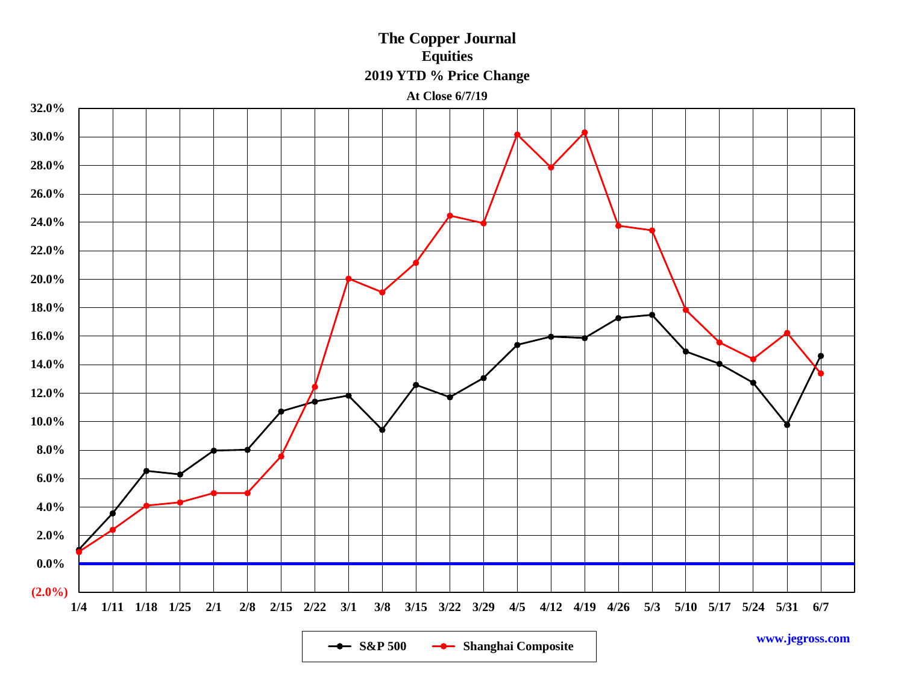**The Copper Journal Equities 2019 YTD % Price Change**

**At Close 6/7/19**



**-•** S&P 500 -• Shanghai Composite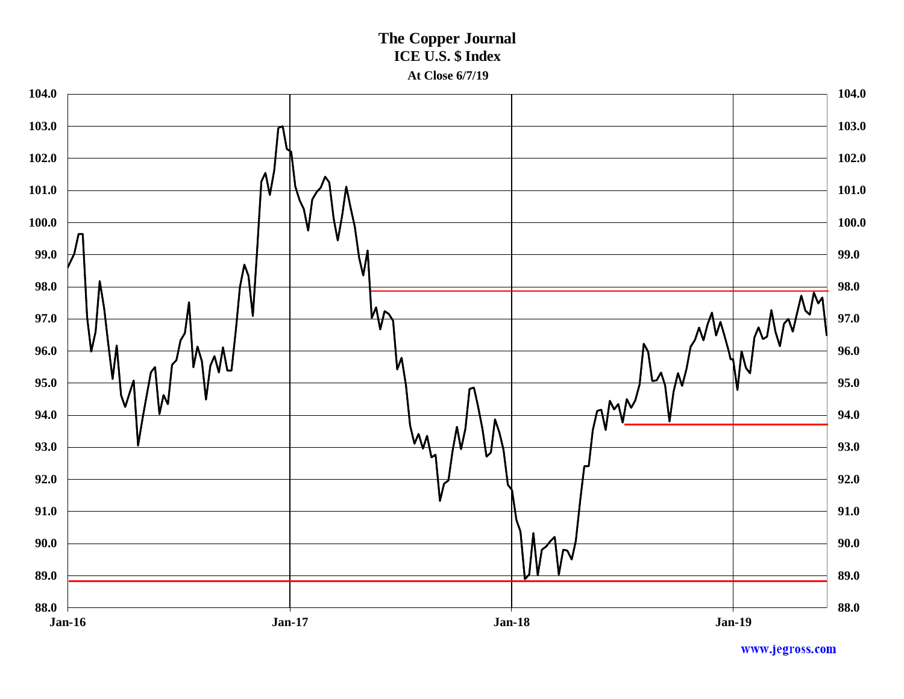### **The Copper Journal ICE U.S. \$ Index At Close 6/7/19**

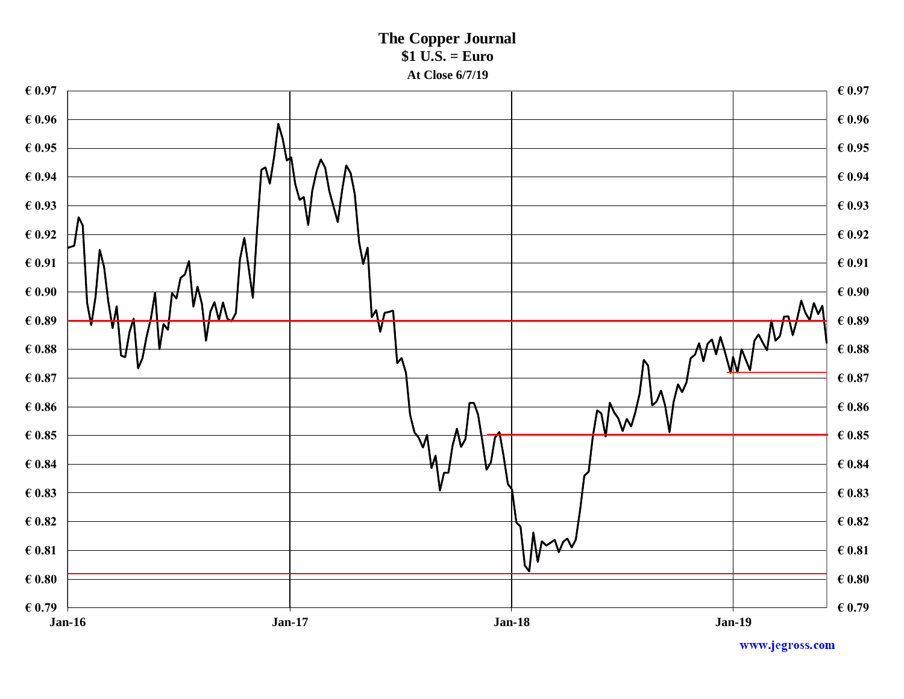**The Copper Journal \$1 U.S. = Euro At Close 6/7/19**

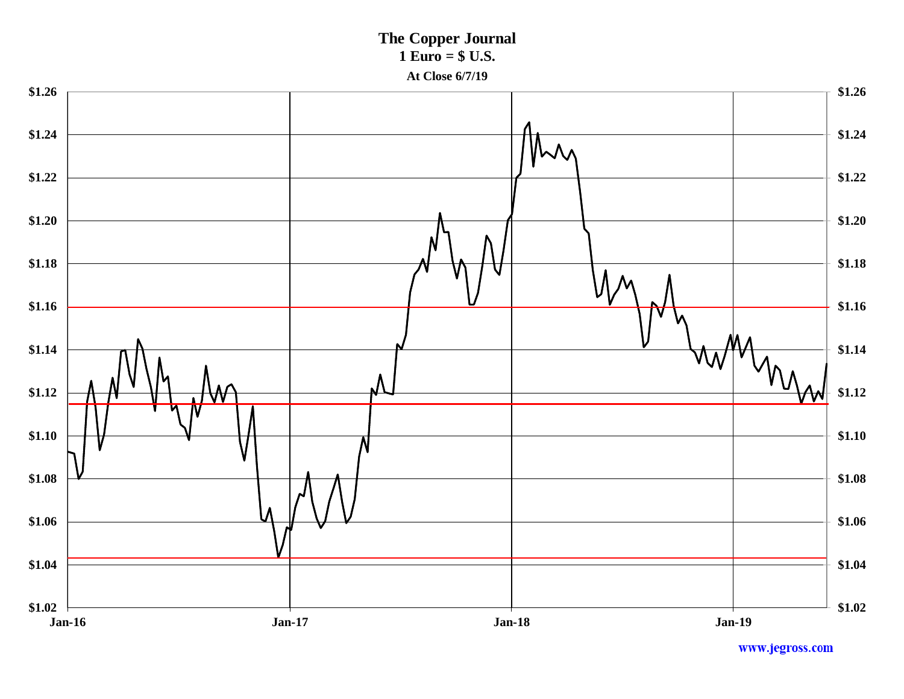**The Copper Journal 1 Euro = \$ U.S.**



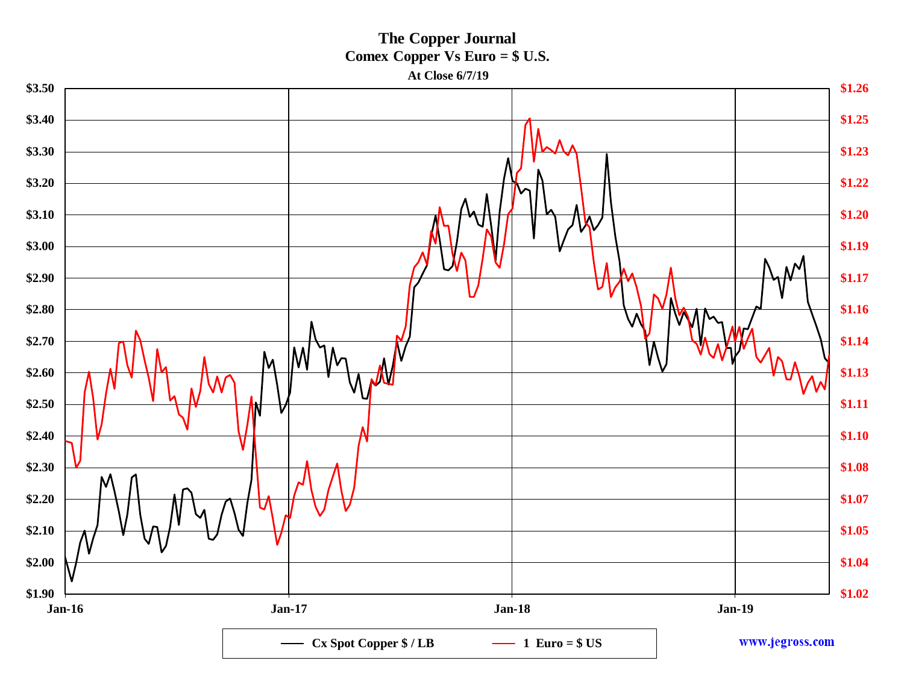**The Copper Journal Comex Copper Vs Euro = \$ U.S.**

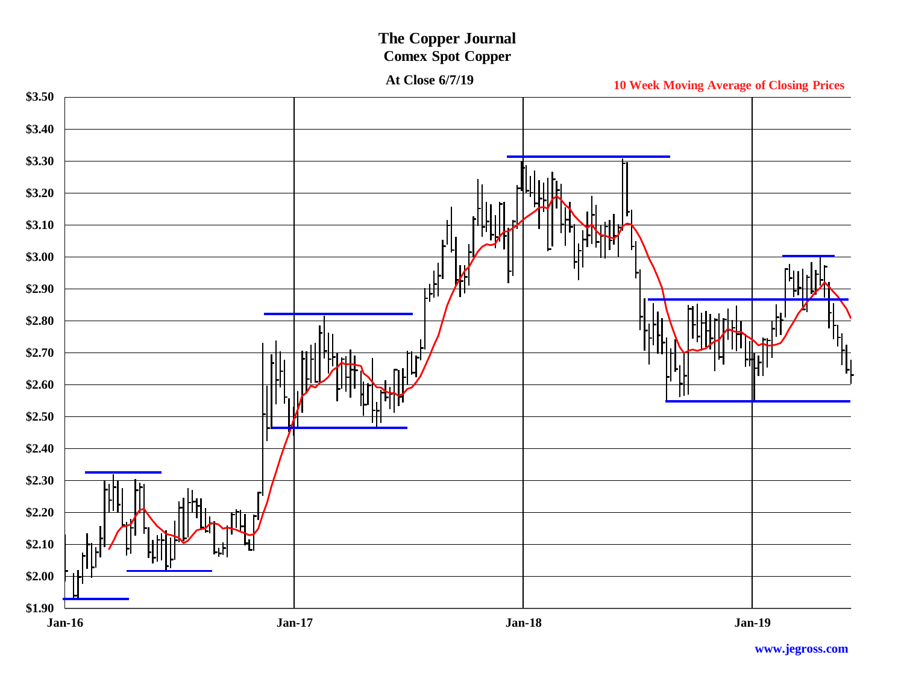### **The Copper Journal Comex Spot Copper**

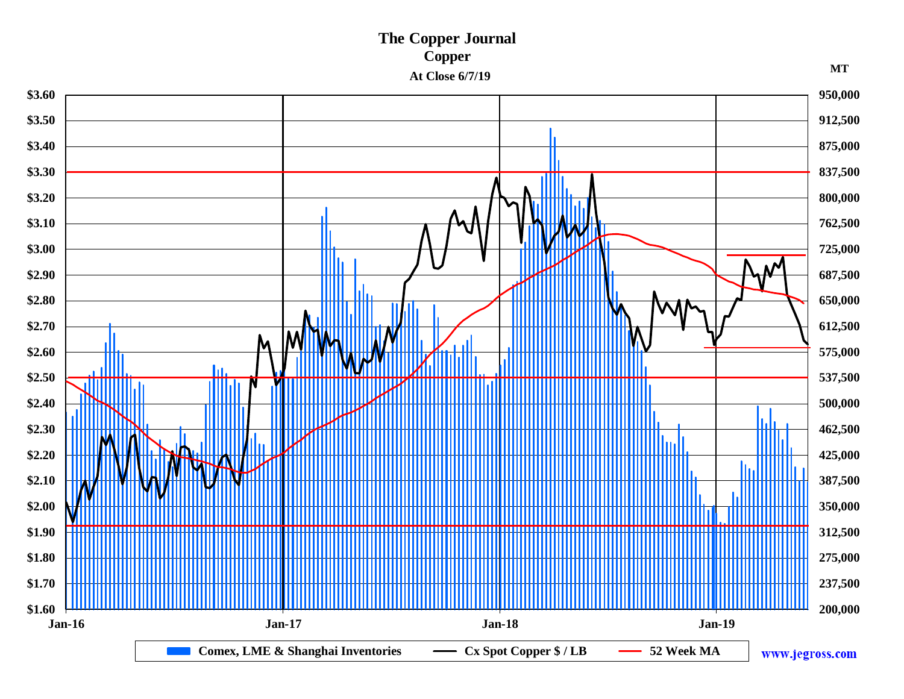### **The Copper Journal Copper At Close 6/7/19 MT**

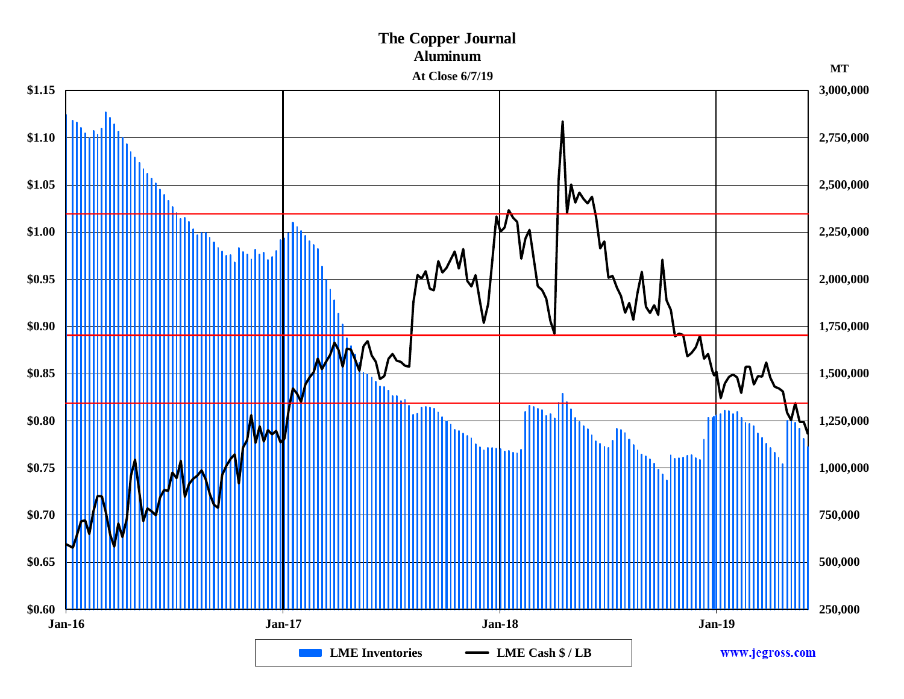### **The Copper Journal Aluminum At Close 6/7/19 MT\$1.15 3,000,000 \$1.10 2,750,000 \$1.05 2,500,000** M **\$1.00 2,250,000 \$0.95 2,000,000 \$0.90 1,750,000** TITI TITI TITI T **MUUTIMI \$0.85 1,500,000** ıllı illil **\$0.80 1,250,000 \$0.75 1,000,000 \$0.70 750,000 \$0.65 500,000 250,000 \$0.60 Jan-16 Jan-17 Jan-18 Jan-19 LME Inventories LME Cash \$ / LB** www.jegross.com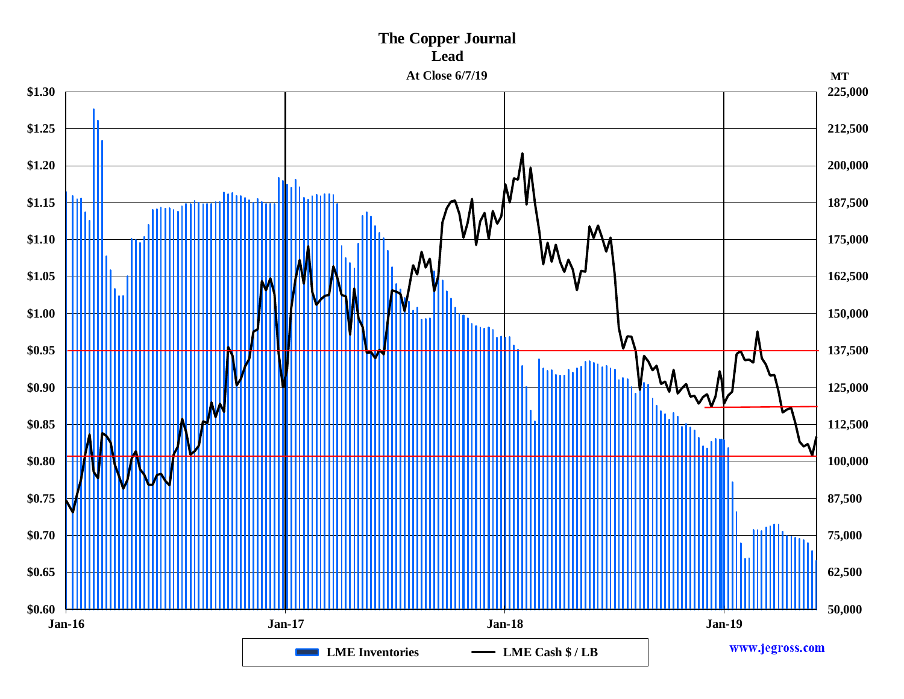## **The Copper Journal Lead**

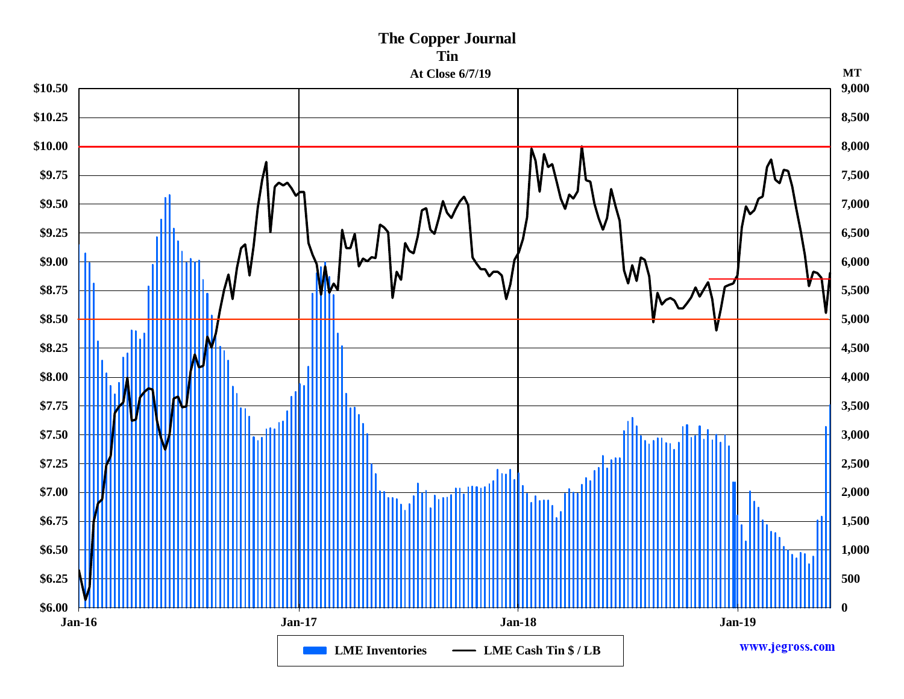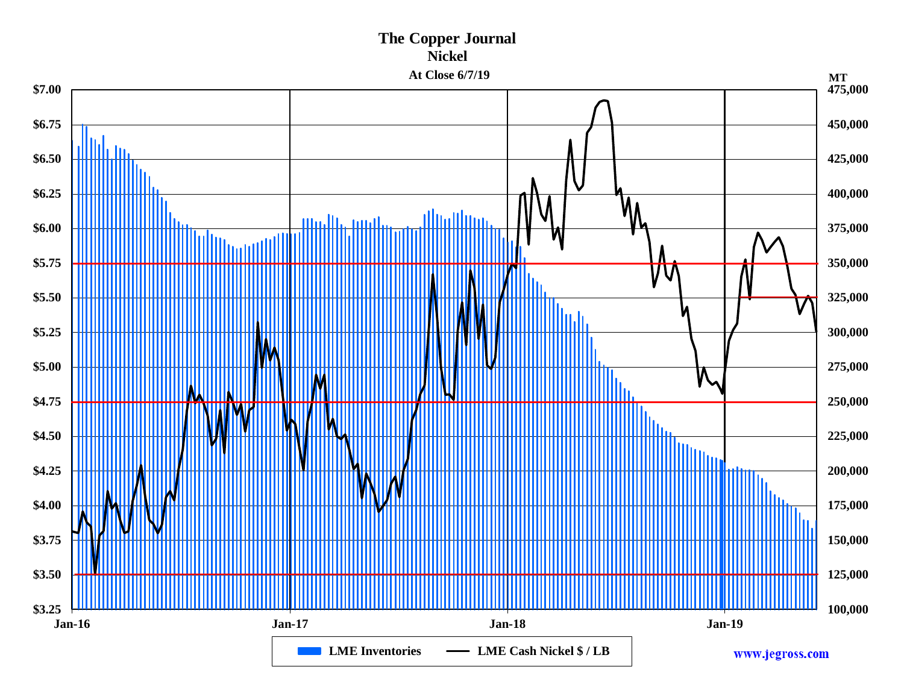### **The Copper Journal Nickel** At Close  $6/7/19$

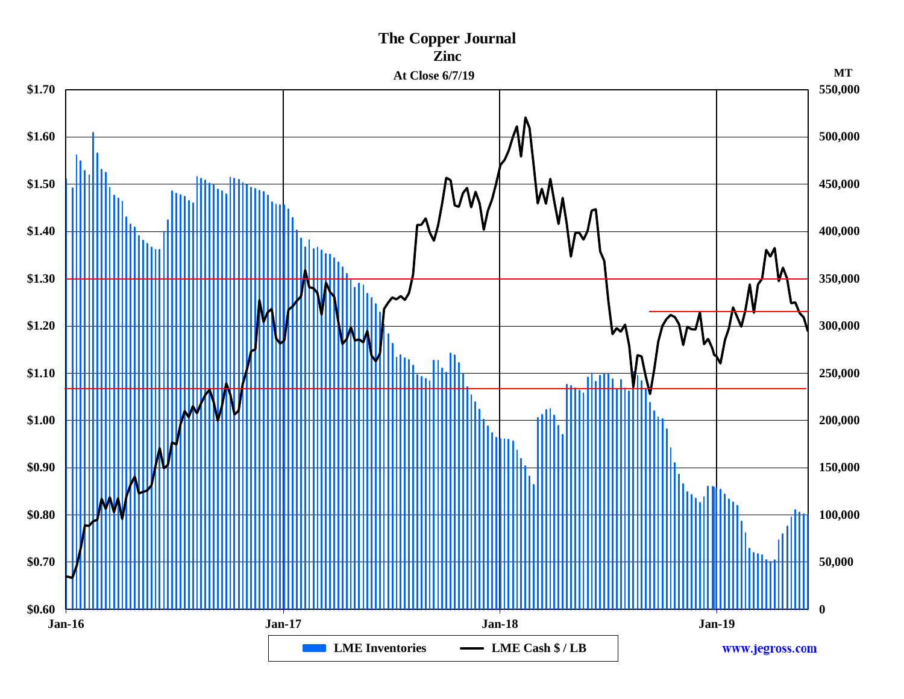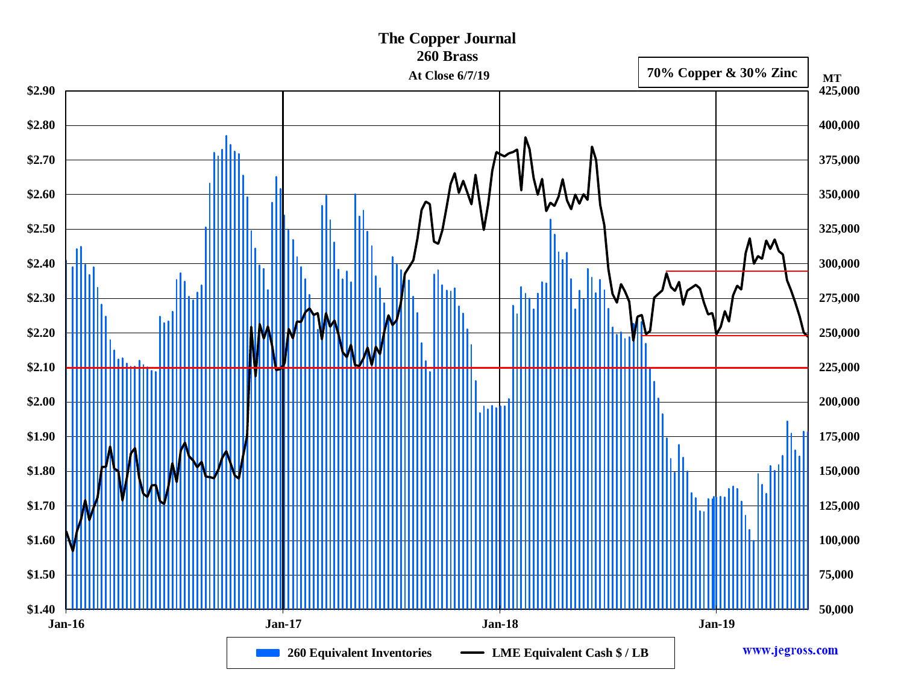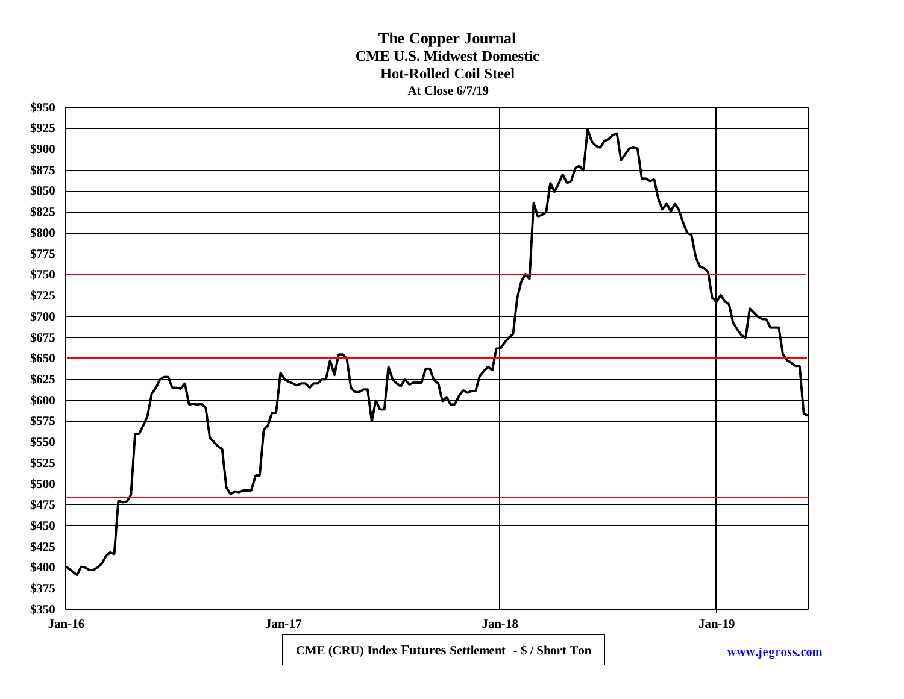### **The Copper Journal CME U.S. Midwest Domestic Hot-Rolled Coil Steel At Close 6/7/19**

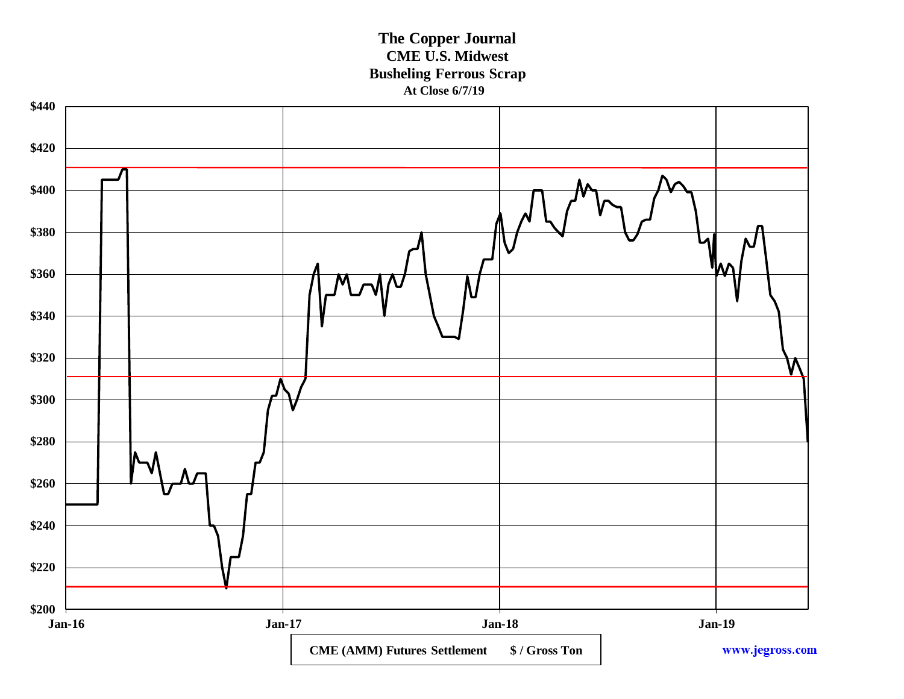**The Copper Journal CME U.S. Midwest Busheling Ferrous Scrap At Close 6/7/19**

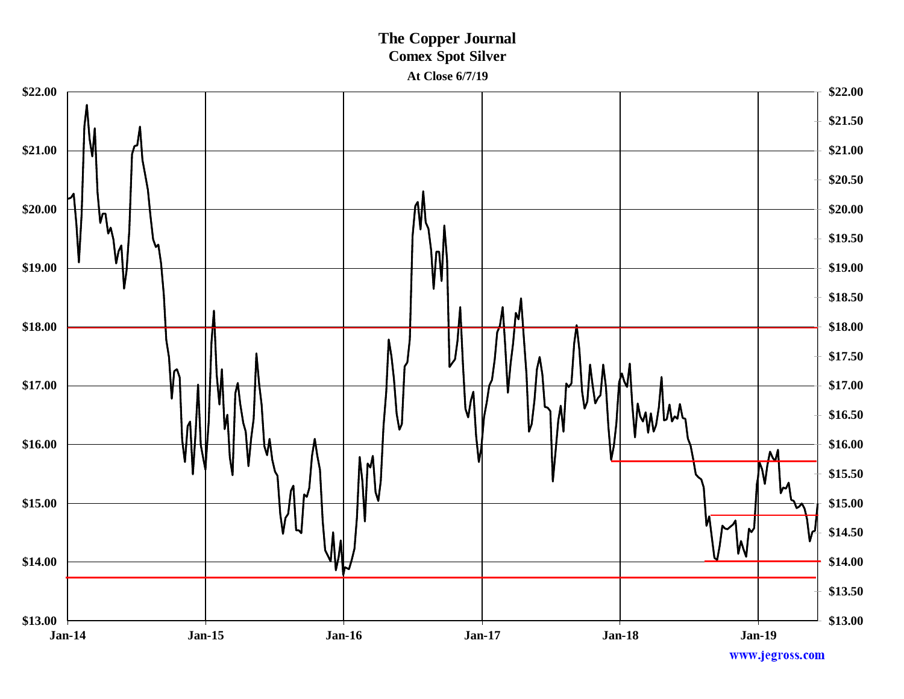### **The Copper Journal Comex Spot Silver At Close 6/7/19**

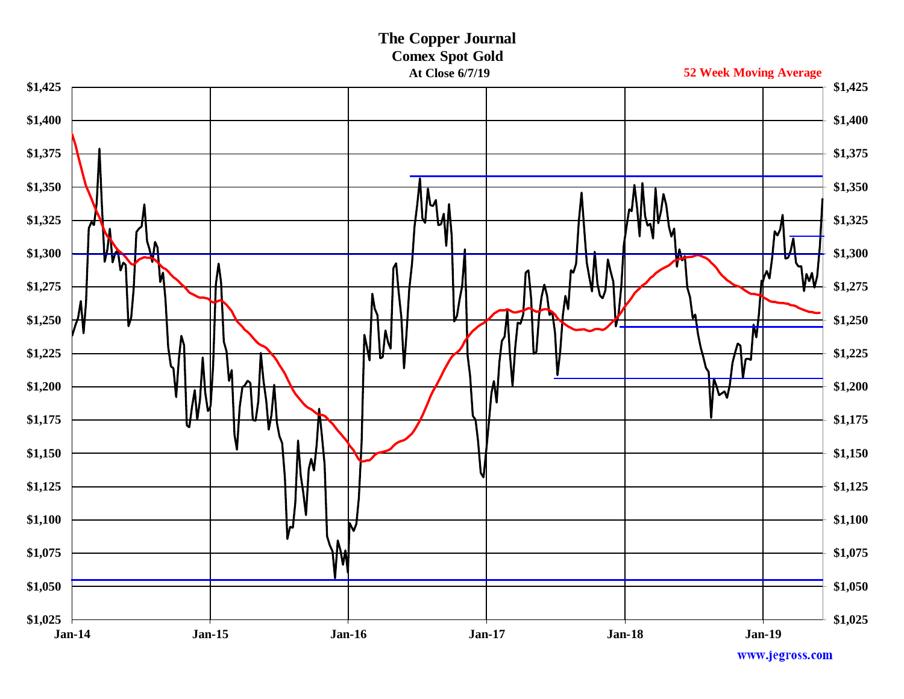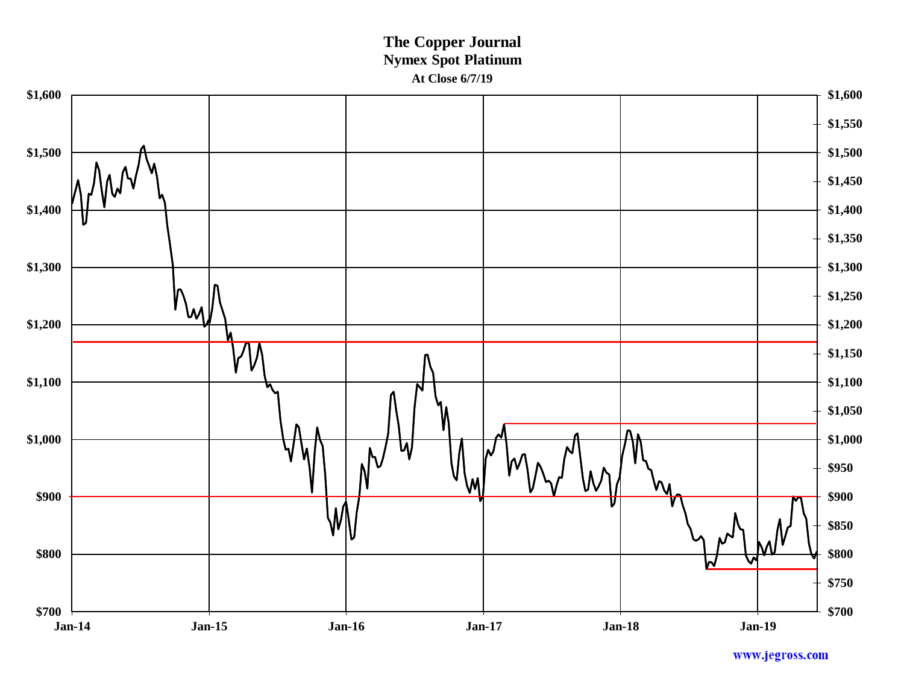### **The Copper Journal Nymex Spot Platinum At Close 6/7/19**

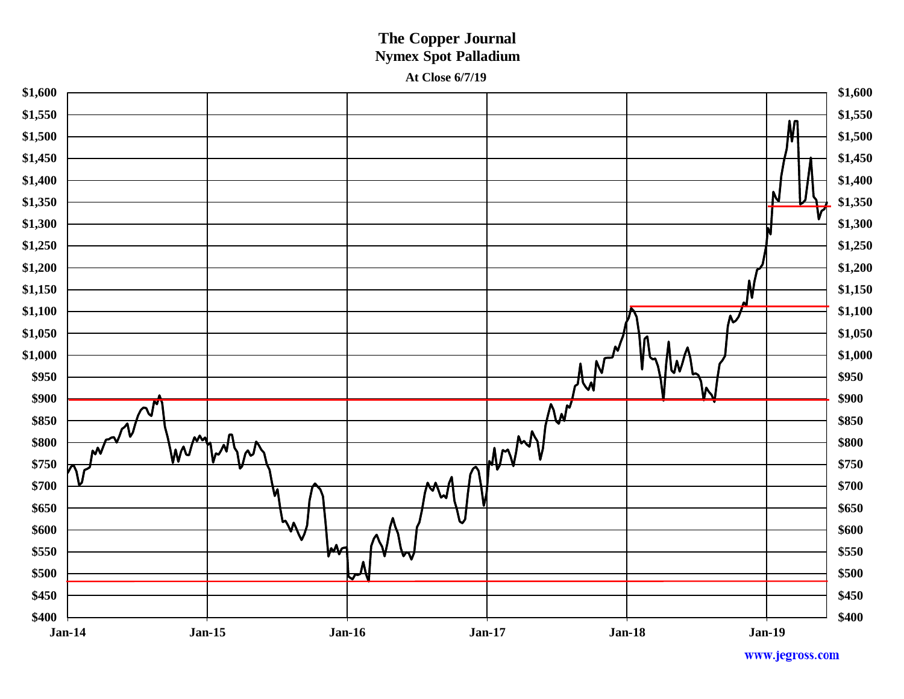### **The Copper Journal Nymex Spot Palladium At Close 6/7/19**

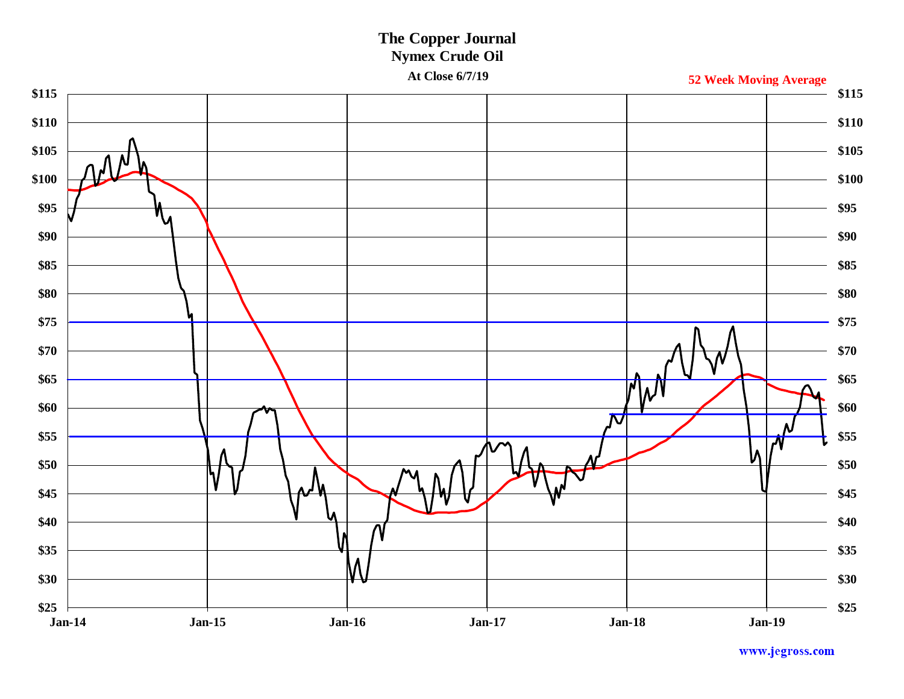### **The Copper Journal Nymex Crude Oil**

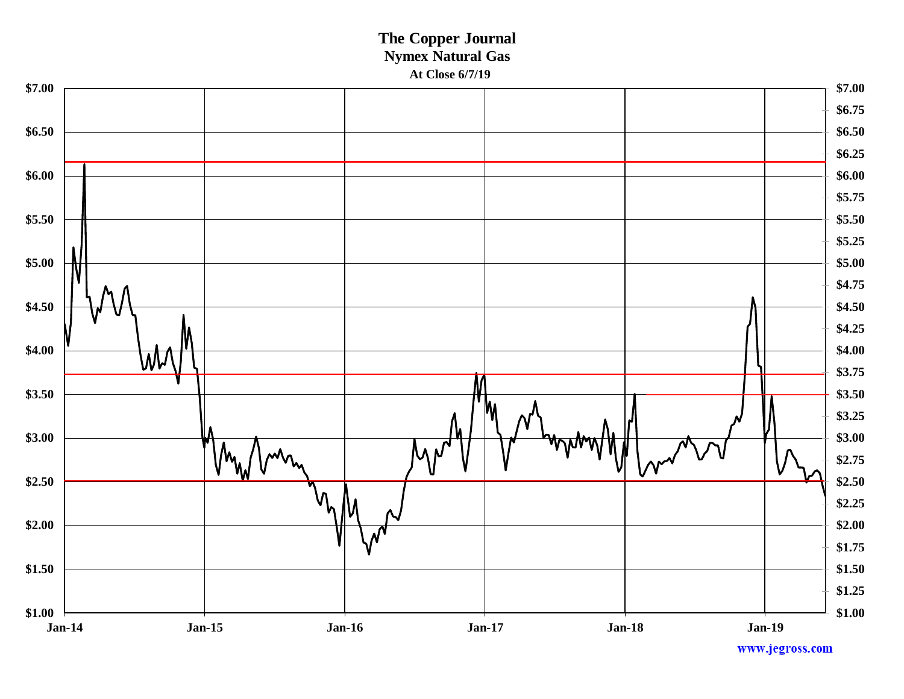### **The Copper Journal Nymex Natural Gas At Close 6/7/19**

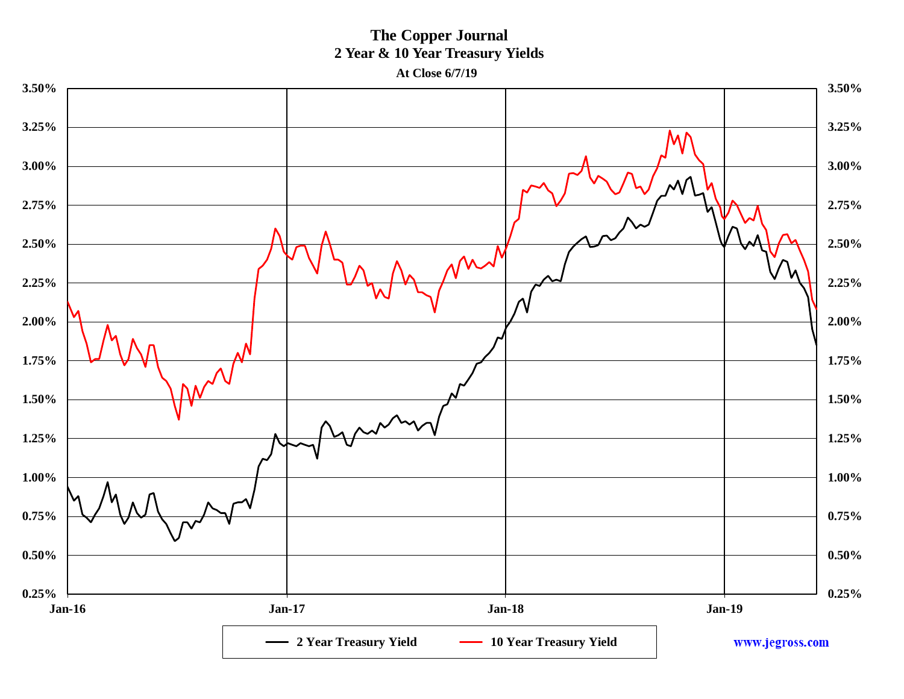**The Copper Journal 2 Year & 10 Year Treasury Yields**

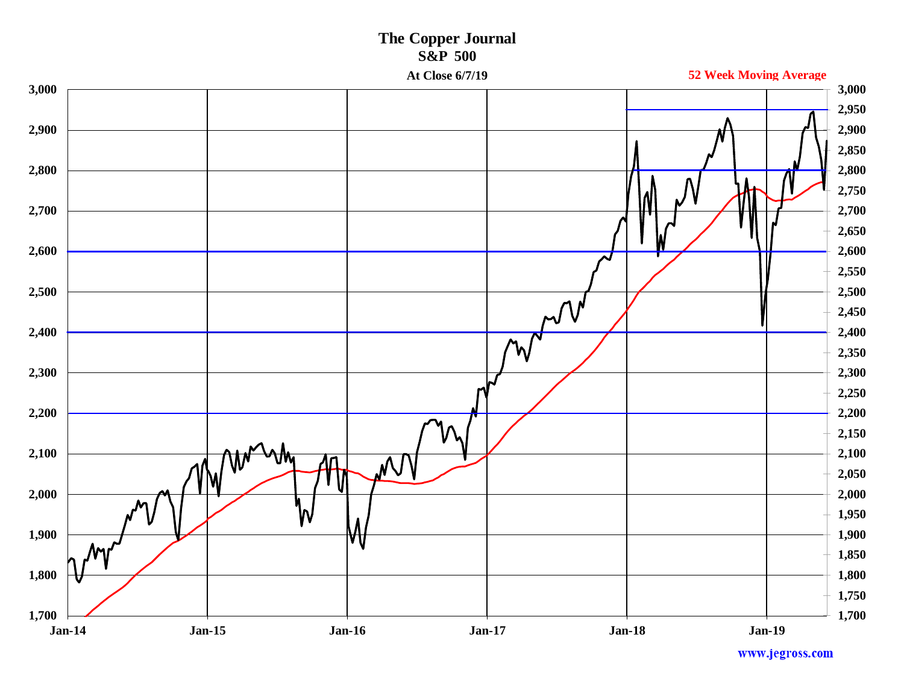

www.jegross.com

# **The Copper Journal**